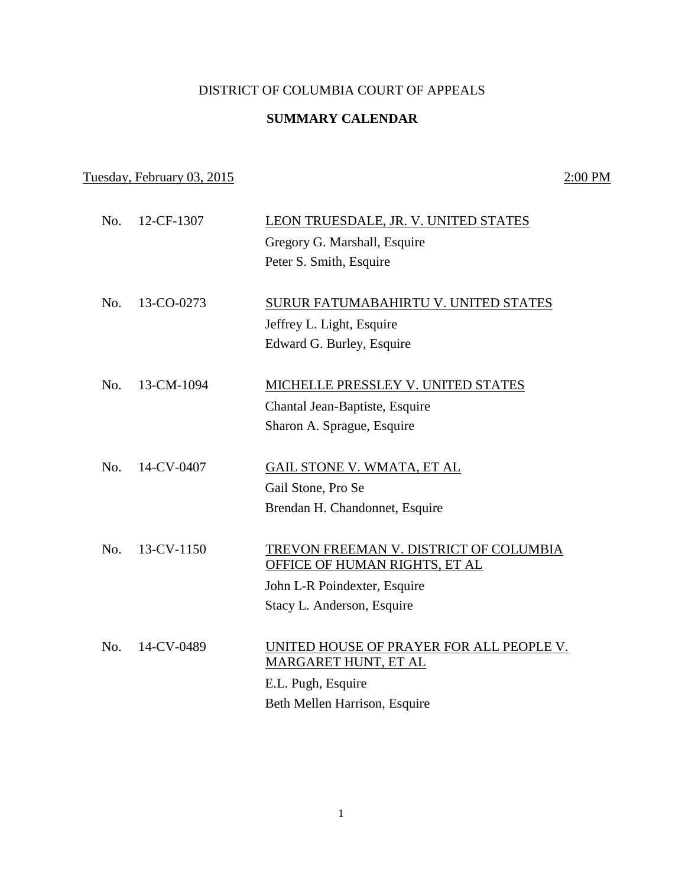## DISTRICT OF COLUMBIA COURT OF APPEALS

# **SUMMARY CALENDAR**

# Tuesday, February 03, 2015 2:00 PM

| No. | 12-CF-1307 | LEON TRUESDALE, JR. V. UNITED STATES                             |
|-----|------------|------------------------------------------------------------------|
|     |            | Gregory G. Marshall, Esquire                                     |
|     |            | Peter S. Smith, Esquire                                          |
| No. | 13-CO-0273 | SURUR FATUMABAHIRTU V. UNITED STATES                             |
|     |            | Jeffrey L. Light, Esquire                                        |
|     |            | Edward G. Burley, Esquire                                        |
| No. | 13-CM-1094 | MICHELLE PRESSLEY V. UNITED STATES                               |
|     |            | Chantal Jean-Baptiste, Esquire                                   |
|     |            | Sharon A. Sprague, Esquire                                       |
|     |            |                                                                  |
| No. | 14-CV-0407 | <b>GAIL STONE V. WMATA, ET AL</b>                                |
|     |            | Gail Stone, Pro Se                                               |
|     |            | Brendan H. Chandonnet, Esquire                                   |
| No. | 13-CV-1150 | TREVON FREEMAN V. DISTRICT OF COLUMBIA                           |
|     |            | OFFICE OF HUMAN RIGHTS, ET AL                                    |
|     |            | John L-R Poindexter, Esquire                                     |
|     |            | Stacy L. Anderson, Esquire                                       |
|     |            |                                                                  |
| No. | 14-CV-0489 | UNITED HOUSE OF PRAYER FOR ALL PEOPLE V.<br>MARGARET HUNT, ET AL |
|     |            | E.L. Pugh, Esquire                                               |
|     |            | Beth Mellen Harrison, Esquire                                    |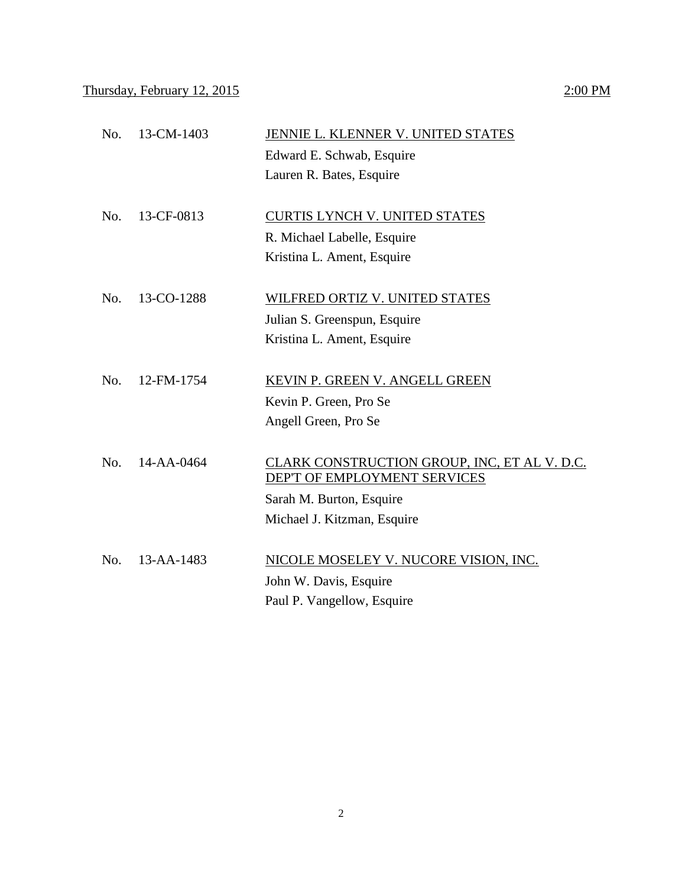### Thursday, February 12, 2015  $2:00 \text{ PM}$

# No. 13-CM-1403 JENNIE L. KLENNER V. UNITED STATES Edward E. Schwab, Esquire Lauren R. Bates, Esquire No. 13-CF-0813 CURTIS LYNCH V. UNITED STATES R. Michael Labelle, Esquire Kristina L. Ament, Esquire No. 13-CO-1288 WILFRED ORTIZ V. UNITED STATES Julian S. Greenspun, Esquire Kristina L. Ament, Esquire No. 12-FM-1754 KEVIN P. GREEN V. ANGELL GREEN Kevin P. Green, Pro Se Angell Green, Pro Se No. 14-AA-0464 CLARK CONSTRUCTION GROUP, INC, ET AL V. D.C. DEP'T OF EMPLOYMENT SERVICES Sarah M. Burton, Esquire Michael J. Kitzman, Esquire No. 13-AA-1483 NICOLE MOSELEY V. NUCORE VISION, INC. John W. Davis, Esquire Paul P. Vangellow, Esquire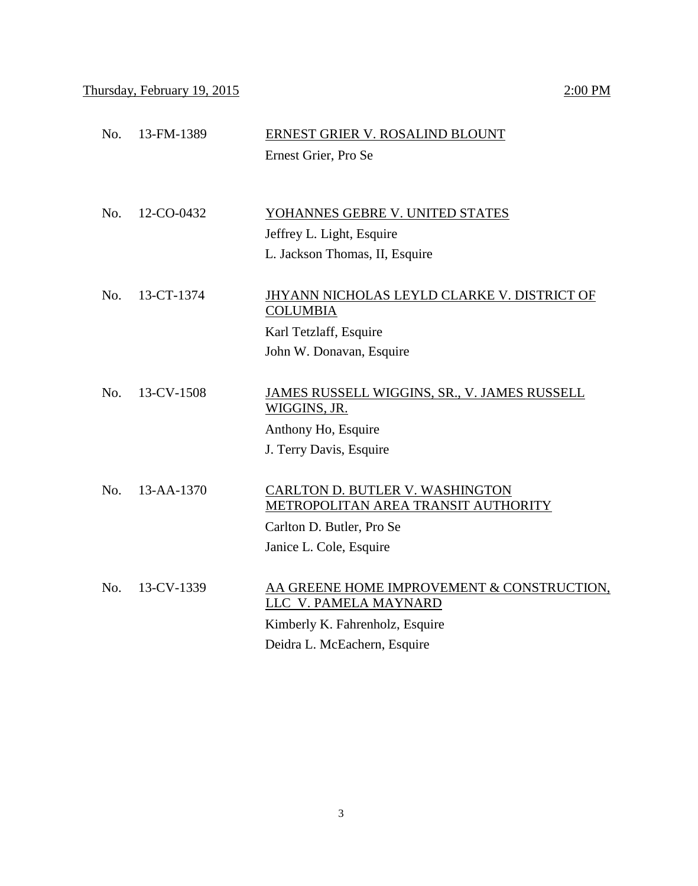# Thursday, February 19, 2015 2:00 PM

|     |                  | Ernest Grier, Pro Se                                                          |
|-----|------------------|-------------------------------------------------------------------------------|
|     |                  |                                                                               |
| No. | 12-CO-0432       | YOHANNES GEBRE V. UNITED STATES                                               |
|     |                  | Jeffrey L. Light, Esquire                                                     |
|     |                  | L. Jackson Thomas, II, Esquire                                                |
|     | 13-CT-1374       |                                                                               |
| No. |                  | JHYANN NICHOLAS LEYLD CLARKE V. DISTRICT OF<br><b>COLUMBIA</b>                |
|     |                  | Karl Tetzlaff, Esquire                                                        |
|     |                  | John W. Donavan, Esquire                                                      |
|     |                  |                                                                               |
| No. | 13-CV-1508       | JAMES RUSSELL WIGGINS, SR., V. JAMES RUSSELL<br>WIGGINS, JR.                  |
|     |                  | Anthony Ho, Esquire                                                           |
|     |                  | J. Terry Davis, Esquire                                                       |
|     |                  |                                                                               |
| No. | $13 - AA - 1370$ | <b>CARLTON D. BUTLER V. WASHINGTON</b><br>METROPOLITAN AREA TRANSIT AUTHORITY |
|     |                  | Carlton D. Butler, Pro Se                                                     |
|     |                  | Janice L. Cole, Esquire                                                       |
|     |                  |                                                                               |
| No. | 13-CV-1339       | AA GREENE HOME IMPROVEMENT & CONSTRUCTION,                                    |
|     |                  | LLC V. PAMELA MAYNARD                                                         |
|     |                  | Kimberly K. Fahrenholz, Esquire                                               |
|     |                  | Deidra L. McEachern, Esquire                                                  |

No. 13-FM-1389 ERNEST GRIER V. ROSALIND BLOUNT